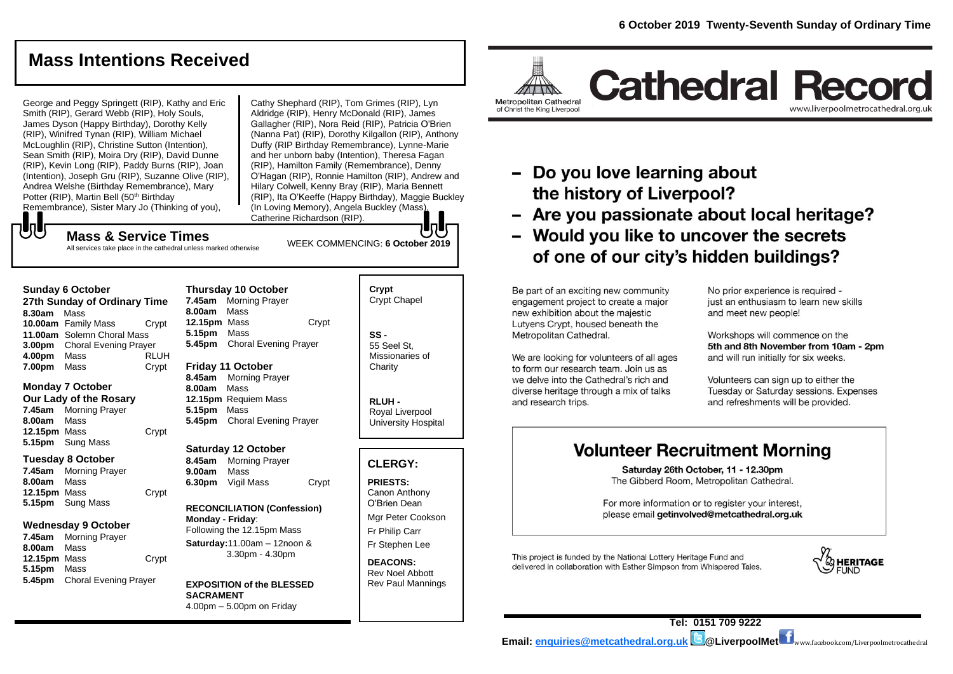www.liverpoolmetrocathedral.org.uk

# **Mass Intentions Received**

George and Peggy Springett (RIP), Kathy and Eric Smith (RIP), Gerard Webb (RIP), Holy Souls, James Dyson (Happy Birthday), Dorothy Kelly (RIP), Winifred Tynan (RIP), William Michael McLoughlin (RIP), Christine Sutton (Intention), Sean Smith (RIP), Moira Dry (RIP), David Dunne (RIP), Kevin Long (RIP), Paddy Burns (RIP), Joan (Intention), Joseph Gru (RIP), Suzanne Olive (RIP), Andrea Welshe (Birthday Remembrance), Mary Potter (RIP), Martin Bell (50<sup>th</sup> Birthday Remembrance), Sister Mary Jo (Thinking of you),

Cathy Shephard (RIP), Tom Grimes (RIP), Lyn Aldridge (RIP), Henry McDonald (RIP), James Gallagher (RIP), Nora Reid (RIP), Patricia O'Brien (Nanna Pat) (RIP), Dorothy Kilgallon (RIP), Anthony Duffy (RIP Birthday Remembrance), Lynne-Marie and her unborn baby (Intention), Theresa Fagan (RIP), Hamilton Family (Remembrance), Denny O'Hagan (RIP), Ronnie Hamilton (RIP), Andrew and Hilary Colwell, Kenny Bray (RIP), Maria Bennett (RIP), Ita O'Keeffe (Happy Birthday), Maggie Buckley (In Loving Memory), Angela Buckley (Mass), Catherine Richardson (RIP).

WEEK COMMENCING: **6 October 2019**

# **UU Mass & Service Times**

All services take place in the cathedral unless marked otherwise

#### **Sunday 6 October**

**27th Sunday of Ordinary Time 8.30am** Mass **10.00am** Family Mass Crypt **11.00am** Solemn Choral Mass **3.00pm** Choral Evening Prayer **4.00pm** Mass RLUH **7.00pm** Mass Crypt

## **Monday 7 October**

**Our Lady of the Rosary 7.45am** Morning Prayer **8.00am** Mass **12.15pm** Mass Crypt **5.15pm** Sung Mass

#### **Tuesday 8 October**

**7.45am** Morning Prayer **8.00am** Mass **12.15pm** Mass Crypt **5.15pm** Sung Mass

## **Wednesday 9 October**

**7.45am** Morning Prayer **8.00am** Mass **12.15pm** Mass Crypt **5.15pm** Mass **5.45pm** Choral Evening Prayer

#### **Thursday 10 October 7.45am** Morning Prayer **8.00am** Mass **12.15pm** Mass Crypt **5.15pm** Mass **5.45pm** Choral Evening Prayer

**Friday 11 October 8.45am** Morning Prayer **8.00am** Mass **12.15pm** Requiem Mass **5.15pm** Mass **5.45pm** Choral Evening Prayer

## **Saturday 12 October**

**8.45am** Morning Prayer **9.00am** Mass **6.30pm** Vigil Mass Crypt

#### **RECONCILIATION (Confession) Monday - Friday**: Following the 12.15pm Mass **Saturday:**11.00am – 12noon & 3.30pm - 4.30pm

**EXPOSITION of the BLESSED SACRAMENT** 4.00pm – 5.00pm on Friday

# **Crypt**  Crypt Chapel

**SS -** 55 Seel St, Missionaries of **Charity** 

**RLUH -** Royal Liverpool University Hospital

## **CLERGY:**

**PRIESTS:** Canon Anthony O'Brien *Dean*

Mgr Peter Cookson Fr Philip Carr

Fr Stephen Lee

**DEACONS:** Rev Noel Abbott Rev Paul Mannings

# Metropolitan Cathedral of Christ the King Liverpool

**Cathedral Record** 



- Are you passionate about local heritage?
- Would you like to uncover the secrets of one of our city's hidden buildings?

Be part of an exciting new community engagement project to create a major new exhibition about the majestic Lutyens Crypt, housed beneath the Metropolitan Cathedral.

We are looking for volunteers of all ages to form our research team. Join us as we delve into the Cathedral's rich and diverse heritage through a mix of talks and research trips.

No prior experience is required just an enthusiasm to learn new skills and meet new people!

Workshops will commence on the 5th and 8th November from 10am - 2pm and will run initially for six weeks.

Volunteers can sign up to either the Tuesday or Saturday sessions. Expenses and refreshments will be provided.

# **Volunteer Recruitment Morning**

Saturday 26th October, 11 - 12.30pm The Gibberd Room. Metropolitan Cathedral.

For more information or to register your interest, please email getinvolved@metcathedral.org.uk

This project is funded by the National Lottery Heritage Fund and delivered in collaboration with Esther Simpson from Whispered Tales.